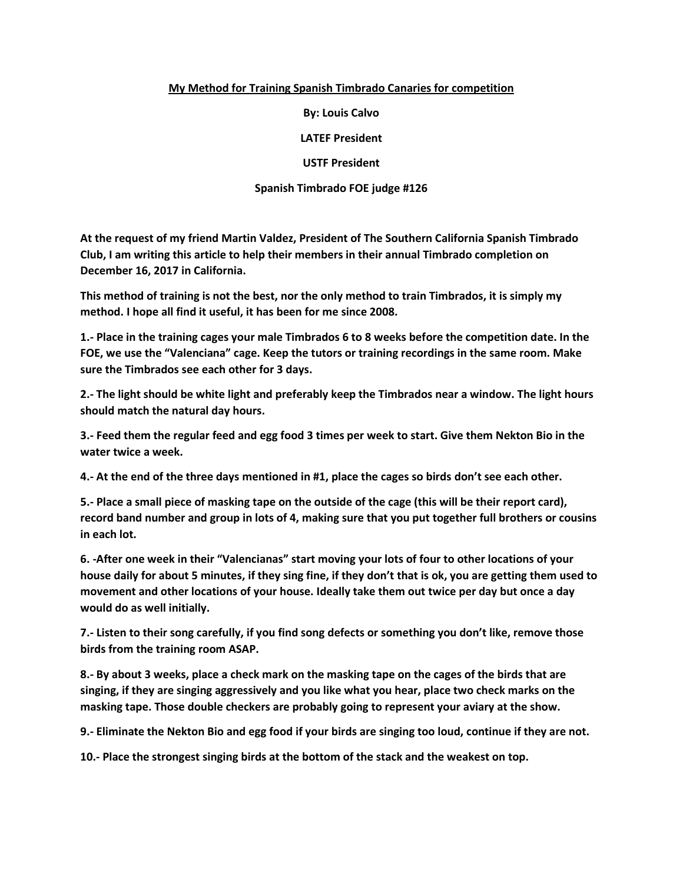## **My Method for Training Spanish Timbrado Canaries for competition**

**By: Louis Calvo**

**LATEF President**

**USTF President**

**Spanish Timbrado FOE judge #126**

**At the request of my friend Martin Valdez, President of The Southern California Spanish Timbrado Club, I am writing this article to help their members in their annual Timbrado completion on December 16, 2017 in California.**

**This method of training is not the best, nor the only method to train Timbrados, it is simply my method. I hope all find it useful, it has been for me since 2008.**

**1.- Place in the training cages your male Timbrados 6 to 8 weeks before the competition date. In the FOE, we use the "Valenciana" cage. Keep the tutors or training recordings in the same room. Make sure the Timbrados see each other for 3 days.**

**2.- The light should be white light and preferably keep the Timbrados near a window. The light hours should match the natural day hours.**

**3.- Feed them the regular feed and egg food 3 times per week to start. Give them Nekton Bio in the water twice a week.**

**4.- At the end of the three days mentioned in #1, place the cages so birds don't see each other.**

**5.- Place a small piece of masking tape on the outside of the cage (this will be their report card), record band number and group in lots of 4, making sure that you put together full brothers or cousins in each lot.**

**6. -After one week in their "Valencianas" start moving your lots of four to other locations of your house daily for about 5 minutes, if they sing fine, if they don't that is ok, you are getting them used to movement and other locations of your house. Ideally take them out twice per day but once a day would do as well initially.**

**7.- Listen to their song carefully, if you find song defects or something you don't like, remove those birds from the training room ASAP.**

**8.- By about 3 weeks, place a check mark on the masking tape on the cages of the birds that are singing, if they are singing aggressively and you like what you hear, place two check marks on the masking tape. Those double checkers are probably going to represent your aviary at the show.** 

**9.- Eliminate the Nekton Bio and egg food if your birds are singing too loud, continue if they are not.**

**10.- Place the strongest singing birds at the bottom of the stack and the weakest on top.**